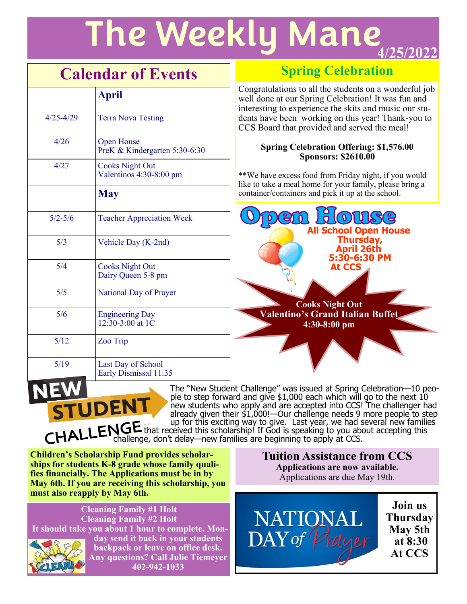# **The Weekly Mane**

## **Calendar of Events**

|               | <b>April</b>                                       |
|---------------|----------------------------------------------------|
| $4/25 - 4/29$ | <b>Terra Nova Testing</b>                          |
| 4/26          | <b>Open House</b><br>PreK & Kindergarten 5:30-6:30 |
| 4/27          | <b>Cooks Night Out</b><br>Valentinos 4:30-8:00 pm  |
|               | <b>May</b>                                         |
| $5/2 - 5/6$   | <b>Teacher Appreciation Week</b>                   |
| 5/3           | Vehicle Day (K-2nd)                                |
| 5/4           | <b>Cooks Night Out</b><br>Dairy Queen 5-8 pm       |
| 5/5           | National Day of Prayer                             |
| 5/6           | <b>Engineering Day</b><br>12:30-3:00 at 1C         |
| 5/12          | Zoo Trip                                           |
| 5/19          | Last Day of School<br>Early Dismissal 11:35        |

## **Spring Celebration**

Congratulations to all the students on a wonderful job well done at our Spring Celebration! It was fun and interesting to experience the skits and music our students have been working on this year! Thank-you to CCS Board that provided and served the meal!

#### **Spring Celebration Offering: \$1,576.00 Sponsors: \$2610.00**

\*\*We have excess food from Friday night, if you would like to take a meal home for your family, please bring a container/containers and pick it up at the school.



The "New Student Challenge" was issued at Spring Celebration—10 people to step forward and give \$1,000 each which will go to the next 10 new students who apply and are accepted into CCS! The challenger had already given their \$1,000!—Our challenge needs 9 more people to step up for this exciting way to give. Last year, we had several new families that received this scholarship! If God is speaking to you about accepting this

challenge, don't delay—new families are beginning to apply at CCS.

**Children's Scholarship Fund provides scholarships for students K-8 grade whose family qualifies financially. The Applications must be in by May 6th. If you are receiving this scholarship, you must also reapply by May 6th.**

**UDENT** 

**Cleaning Family #1 Holt Cleaning Family #2 Holt It should take you about 1 hour to complete. Monday send it back in your students** 



**backpack or leave on office desk. Any questions? Call Julie Tiemeyer 402-942-1033**

**Tuition Assistance from CCS Applications are now available.**  Applications are due May 19th.